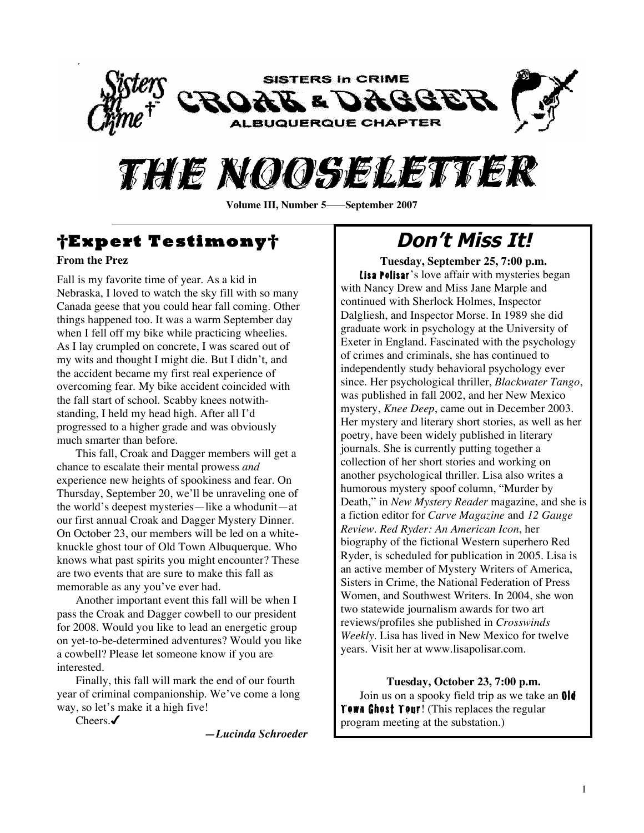

# **Volume III, Number <sup>5</sup> September <sup>2007</sup>**

## **†Expert Testimony†**

#### **From the Prez**

Fall is my favorite time of year. As a kid in Nebraska, I loved to watch the sky fill with so many Canada geese that you could hear fall coming. Other things happened too. It was a warm September day when I fell off my bike while practicing wheelies. As I lay crumpled on concrete, I was scared out of my wits and thought I might die. But I didn't, and the accident became my first real experience of overcoming fear. My bike accident coincided with the fall start of school. Scabby knees notwithstanding, I held my head high. After all I'd progressed to a higher grade and was obviously much smarter than before.

This fall, Croak and Dagger members will get a chance to escalate their mental prowess *and* experience new heights of spookiness and fear. On Thursday, September 20, we'll be unraveling one of the world's deepest mysteries—like a whodunit—at our first annual Croak and Dagger Mystery Dinner. On October 23, our members will be led on a whiteknuckle ghost tour of Old Town Albuquerque. Who knows what past spirits you might encounter? These are two events that are sure to make this fall as memorable as any you've ever had.

Another important event this fall will be when I pass the Croak and Dagger cowbell to our president for 2008. Would you like to lead an energetic group on yet-to-be-determined adventures? Would you like a cowbell? Please let someone know if you are interested.

Finally, this fall will mark the end of our fourth year of criminal companionship. We've come a long way, so let's make it a high five!

 $\mathsf{C}$ heers. $\checkmark$ 

*—Lucinda Schroeder*

# **Don't Miss It!**

**Tuesday, September 25, 7:00 p.m.** Lisa Polisar's love affair with mysteries began with Nancy Drew and Miss Jane Marple and continued with Sherlock Holmes, Inspector Dalgliesh, and Inspector Morse. In 1989 she did graduate work in psychology at the University of Exeter in England. Fascinated with the psychology of crimes and criminals, she has continued to independently study behavioral psychology ever since. Her psychological thriller, *Blackwater Tango*, was published in fall 2002, and her New Mexico mystery, *Knee Deep*, came out in December 2003. Her mystery and literary short stories, as well as her poetry, have been widely published in literary journals. She is currently putting together a collection of her short stories and working on another psychological thriller. Lisa also writes a humorous mystery spoof column, "Murder by Death," in *New Mystery Reader* magazine, and she is a fiction editor for *Carve Magazine* and *12 Gauge Review*. *Red Ryder: An American Icon*, her biography of the fictional Western superhero Red Ryder, is scheduled for publication in 2005. Lisa is an active member of Mystery Writers of America, Sisters in Crime, the National Federation of Press Women, and Southwest Writers. In 2004, she won two statewide journalism awards for two art reviews/profiles she published in *Crosswinds Weekly*. Lisa has lived in New Mexico for twelve years. Visit her at www.lisapolisar.com.

**Tuesday, October 23, 7:00 p.m.** Join us on a spooky field trip as we take an **Old** Town Ghost Tour! (This replaces the regular program meeting at the substation.)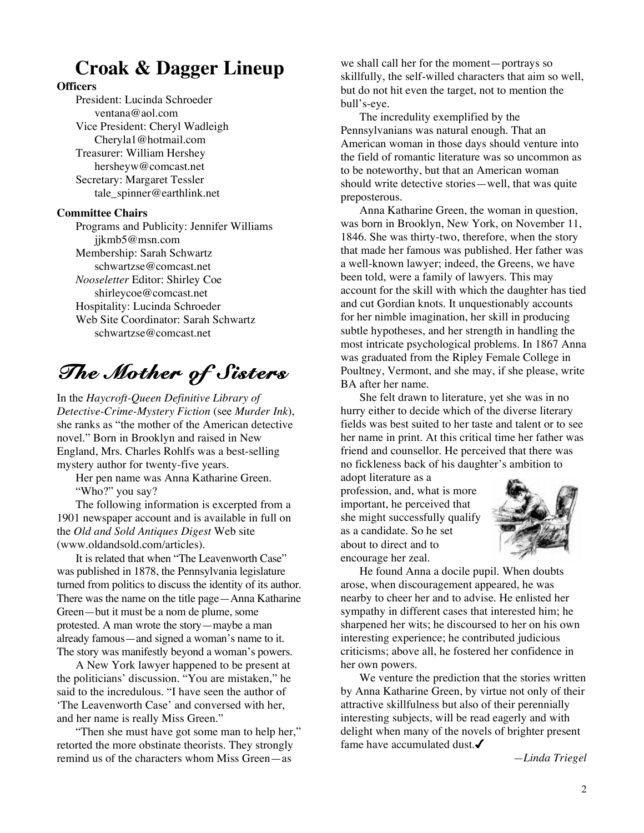## **Croak & Dagger Lineup**

#### **Officers**

President: Lucinda Schroeder ventana@aol.com Vice President: Cheryl Wadleigh Cheryla1@hotmail.com Treasurer: William Hershey hersheyw@comcast.net Secretary: Margaret Tessler tale\_spinner@earthlink.net

#### **Committee Chairs**

Programs and Publicity: Jennifer Williams jjkmb5@msn.com Membership: Sarah Schwartz schwartzse@comcast.net *Nooseletter* Editor: Shirley Coe shirleycoe@comcast.net Hospitality: Lucinda Schroeder Web Site Coordinator: Sarah Schwartz schwartzse@comcast.net

## *The Mother of Sisters*

In the *Haycroft-Queen Definitive Library of Detective-Crime-Mystery Fiction* (see *Murder Ink*), she ranks as "the mother of the American detective novel." Born in Brooklyn and raised in New England, Mrs. Charles Rohlfs was a best-selling mystery author for twenty-five years.

Her pen name was Anna Katharine Green. "Who?" you say?

The following information is excerpted from a 1901 newspaper account and is available in full on the *Old and Sold Antiques Digest* Web site (www.oldandsold.com/articles).

It is related that when "The Leavenworth Case" was published in 1878, the Pennsylvania legislature turned from politics to discuss the identity of its author. There was the name on the title page—Anna Katharine Green—but it must be a nom de plume, some protested. A man wrote the story—maybe a man already famous—and signed a woman's name to it. The story was manifestly beyond a woman's powers.

A New York lawyer happened to be present at the politicians' discussion. "You are mistaken," he said to the incredulous. "I have seen the author of 'The Leavenworth Case' and conversed with her, and her name is really Miss Green."

"Then she must have got some man to help her," retorted the more obstinate theorists. They strongly remind us of the characters whom Miss Green—as

we shall call her for the moment—portrays so skillfully, the self-willed characters that aim so well, but do not hit even the target, not to mention the bull's-eye.

The incredulity exemplified by the Pennsylvanians was natural enough. That an American woman in those days should venture into the field of romantic literature was so uncommon as to be noteworthy, but that an American woman should write detective stories—well, that was quite preposterous.

Anna Katharine Green, the woman in question, was born in Brooklyn, New York, on November 11, 1846. She was thirty-two, therefore, when the story that made her famous was published. Her father was a well-known lawyer; indeed, the Greens, we have been told, were a family of lawyers. This may account for the skill with which the daughter has tied and cut Gordian knots. It unquestionably accounts for her nimble imagination, her skill in producing subtle hypotheses, and her strength in handling the most intricate psychological problems. In 1867 Anna was graduated from the Ripley Female College in Poultney, Vermont, and she may, if she please, write BA after her name.

She felt drawn to literature, yet she was in no hurry either to decide which of the diverse literary fields was best suited to her taste and talent or to see her name in print. At this critical time her father was friend and counsellor. He perceived that there was no fickleness back of his daughter's ambition to

adopt literature as a profession, and, what is more important, he perceived that she might successfully qualify as a candidate. So he set about to direct and to encourage her zeal.



He found Anna a docile pupil. When doubts arose, when discouragement appeared, he was nearby to cheer her and to advise. He enlisted her sympathy in different cases that interested him; he sharpened her wits; he discoursed to her on his own interesting experience; he contributed judicious criticisms; above all, he fostered her confidence in her own powers.

We venture the prediction that the stories written by Anna Katharine Green, by virtue not only of their attractive skillfulness but also of their perennially interesting subjects, will be read eagerly and with delight when many of the novels of brighter present fame have accumulated dust. $\checkmark$ 

*—Linda Triegel*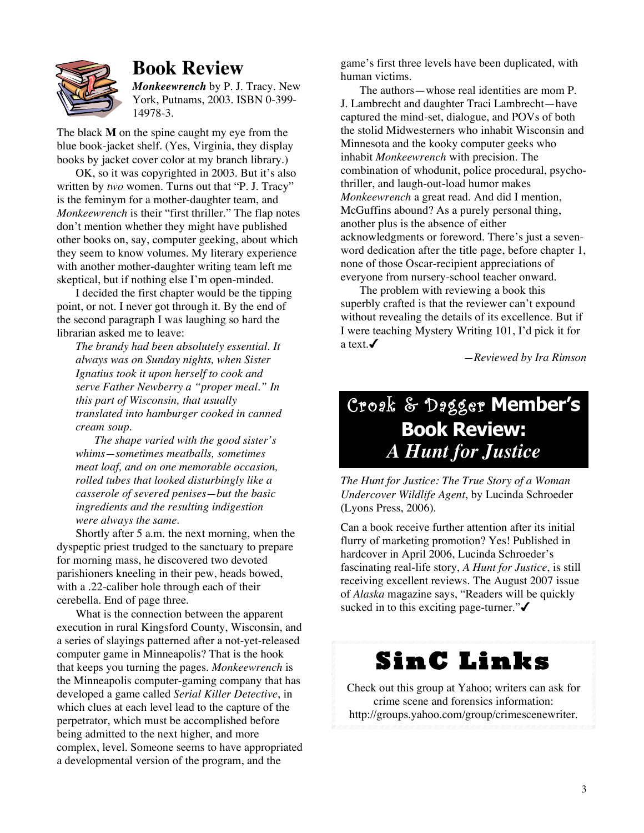

## **Book Review**

*Monkeewrench* by P. J. Tracy. New York, Putnams, 2003. ISBN 0-399- 14978-3.

The black **M** on the spine caught my eye from the blue book-jacket shelf. (Yes, Virginia, they display books by jacket cover color at my branch library.)

OK, so it was copyrighted in 2003. But it's also written by *two* women. Turns out that "P. J. Tracy" is the feminym for a mother-daughter team, and *Monkeewrench* is their "first thriller." The flap notes don't mention whether they might have published other books on, say, computer geeking, about which they seem to know volumes. My literary experience with another mother-daughter writing team left me skeptical, but if nothing else I'm open-minded.

I decided the first chapter would be the tipping point, or not. I never got through it. By the end of the second paragraph I was laughing so hard the librarian asked me to leave:

*The brandy had been absolutely essential. It always was on Sunday nights, when Sister Ignatius took it upon herself to cook and serve Father Newberry a "proper meal." In this part of Wisconsin, that usually translated into hamburger cooked in canned cream soup.*

*The shape varied with the good sister's whims—sometimes meatballs, sometimes meat loaf, and on one memorable occasion, rolled tubes that looked disturbingly like a casserole of severed penises—but the basic ingredients and the resulting indigestion were always the same.*

Shortly after 5 a.m. the next morning, when the dyspeptic priest trudged to the sanctuary to prepare for morning mass, he discovered two devoted parishioners kneeling in their pew, heads bowed, with a .22-caliber hole through each of their cerebella. End of page three.

What is the connection between the apparent execution in rural Kingsford County, Wisconsin, and a series of slayings patterned after a not-yet-released computer game in Minneapolis? That is the hook that keeps you turning the pages. *Monkeewrench* is the Minneapolis computer-gaming company that has developed a game called *Serial Killer Detective*, in which clues at each level lead to the capture of the perpetrator, which must be accomplished before being admitted to the next higher, and more complex, level. Someone seems to have appropriated a developmental version of the program, and the

game's first three levels have been duplicated, with human victims.

The authors—whose real identities are mom P. J. Lambrecht and daughter Traci Lambrecht—have captured the mind-set, dialogue, and POVs of both the stolid Midwesterners who inhabit Wisconsin and Minnesota and the kooky computer geeks who inhabit *Monkeewrench* with precision. The combination of whodunit, police procedural, psychothriller, and laugh-out-load humor makes *Monkeewrench* a great read. And did I mention, McGuffins abound? As a purely personal thing, another plus is the absence of either acknowledgments or foreword. There's just a sevenword dedication after the title page, before chapter 1, none of those Oscar-recipient appreciations of everyone from nursery-school teacher onward.

The problem with reviewing a book this superbly crafted is that the reviewer can't expound without revealing the details of its excellence. But if I were teaching Mystery Writing 101, I'd pick it for a text. $\checkmark$ 

*—Reviewed by Ira Rimson*

## Croak & Dagger **Member's Book Review:** *A Hunt for Justice*

*The Hunt for Justice: The True Story of a Woman Undercover Wildlife Agent*, by Lucinda Schroeder (Lyons Press, 2006).

Can a book receive further attention after its initial flurry of marketing promotion? Yes! Published in hardcover in April 2006, Lucinda Schroeder's fascinating real-life story, *A Hunt for Justice*, is still receiving excellent reviews. The August 2007 issue of *Alaska* magazine says, "Readers will be quickly sucked in to this exciting page-turner." $\checkmark$ 

# **SinC Links**

Check out this group at Yahoo; writers can ask for crime scene and forensics information: http://groups.yahoo.com/group/crimescenewriter.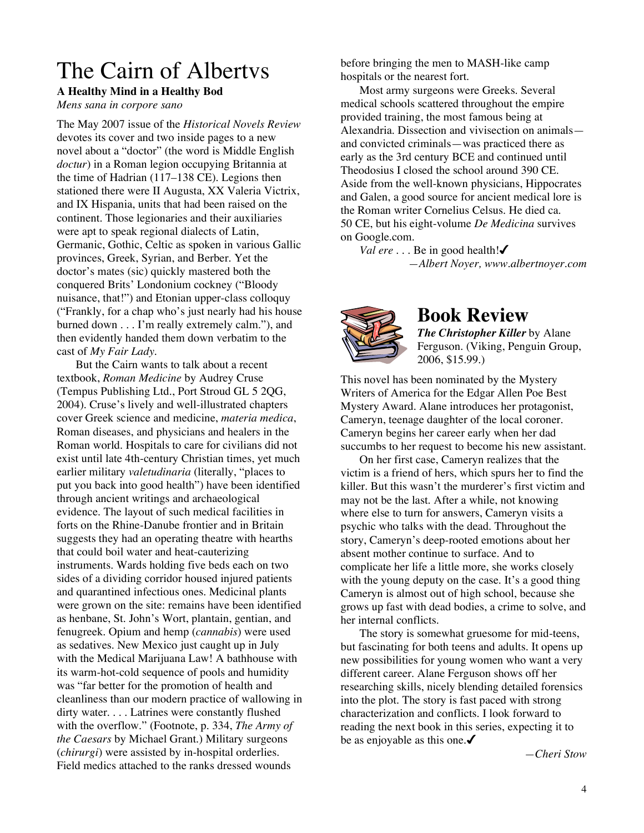# The Cairn of Albertvs

### **A Healthy Mind in a Healthy Bod**

*Mens sana in corpore sano*

The May 2007 issue of the *Historical Novels Review* devotes its cover and two inside pages to a new novel about a "doctor" (the word is Middle English *doctur*) in a Roman legion occupying Britannia at the time of Hadrian (117–138 CE). Legions then stationed there were II Augusta, XX Valeria Victrix, and IX Hispania, units that had been raised on the continent. Those legionaries and their auxiliaries were apt to speak regional dialects of Latin, Germanic, Gothic, Celtic as spoken in various Gallic provinces, Greek, Syrian, and Berber. Yet the doctor's mates (sic) quickly mastered both the conquered Brits' Londonium cockney ("Bloody nuisance, that!") and Etonian upper-class colloquy ("Frankly, for a chap who's just nearly had his house burned down . . . I'm really extremely calm."), and then evidently handed them down verbatim to the cast of *My Fair Lady*.

But the Cairn wants to talk about a recent textbook, *Roman Medicine* by Audrey Cruse (Tempus Publishing Ltd., Port Stroud GL 5 2QG, 2004). Cruse's lively and well-illustrated chapters cover Greek science and medicine, *materia medica*, Roman diseases, and physicians and healers in the Roman world. Hospitals to care for civilians did not exist until late 4th-century Christian times, yet much earlier military *valetudinaria* (literally, "places to put you back into good health") have been identified through ancient writings and archaeological evidence. The layout of such medical facilities in forts on the Rhine-Danube frontier and in Britain suggests they had an operating theatre with hearths that could boil water and heat-cauterizing instruments. Wards holding five beds each on two sides of a dividing corridor housed injured patients and quarantined infectious ones. Medicinal plants were grown on the site: remains have been identified as henbane, St. John's Wort, plantain, gentian, and fenugreek. Opium and hemp (*cannabis*) were used as sedatives. New Mexico just caught up in July with the Medical Marijuana Law! A bathhouse with its warm-hot-cold sequence of pools and humidity was "far better for the promotion of health and cleanliness than our modern practice of wallowing in dirty water. . . . Latrines were constantly flushed with the overflow." (Footnote, p. 334, *The Army of the Caesars* by Michael Grant.) Military surgeons (*chirurgi*) were assisted by in-hospital orderlies. Field medics attached to the ranks dressed wounds

before bringing the men to MASH-like camp hospitals or the nearest fort.

Most army surgeons were Greeks. Several medical schools scattered throughout the empire provided training, the most famous being at Alexandria. Dissection and vivisection on animals and convicted criminals—was practiced there as early as the 3rd century BCE and continued until Theodosius I closed the school around 390 CE. Aside from the well-known physicians, Hippocrates and Galen, a good source for ancient medical lore is the Roman writer Cornelius Celsus. He died ca. 50 CE, but his eight-volume *De Medicina* survives on Google.com.

*Val ere* ∴ *.* Be in good health!✔ *—Albert Noyer, www.albertnoyer.com*



## **Book Review**

*The Christopher Killer* by Alane Ferguson. (Viking, Penguin Group, 2006, \$15.99.)

This novel has been nominated by the Mystery Writers of America for the Edgar Allen Poe Best Mystery Award. Alane introduces her protagonist, Cameryn, teenage daughter of the local coroner. Cameryn begins her career early when her dad succumbs to her request to become his new assistant.

On her first case, Cameryn realizes that the victim is a friend of hers, which spurs her to find the killer. But this wasn't the murderer's first victim and may not be the last. After a while, not knowing where else to turn for answers, Cameryn visits a psychic who talks with the dead. Throughout the story, Cameryn's deep-rooted emotions about her absent mother continue to surface. And to complicate her life a little more, she works closely with the young deputy on the case. It's a good thing Cameryn is almost out of high school, because she grows up fast with dead bodies, a crime to solve, and her internal conflicts.

The story is somewhat gruesome for mid-teens, but fascinating for both teens and adults. It opens up new possibilities for young women who want a very different career. Alane Ferguson shows off her researching skills, nicely blending detailed forensics into the plot. The story is fast paced with strong characterization and conflicts. I look forward to reading the next book in this series, expecting it to be as enjoyable as this one. $\checkmark$ 

*—Cheri Stow*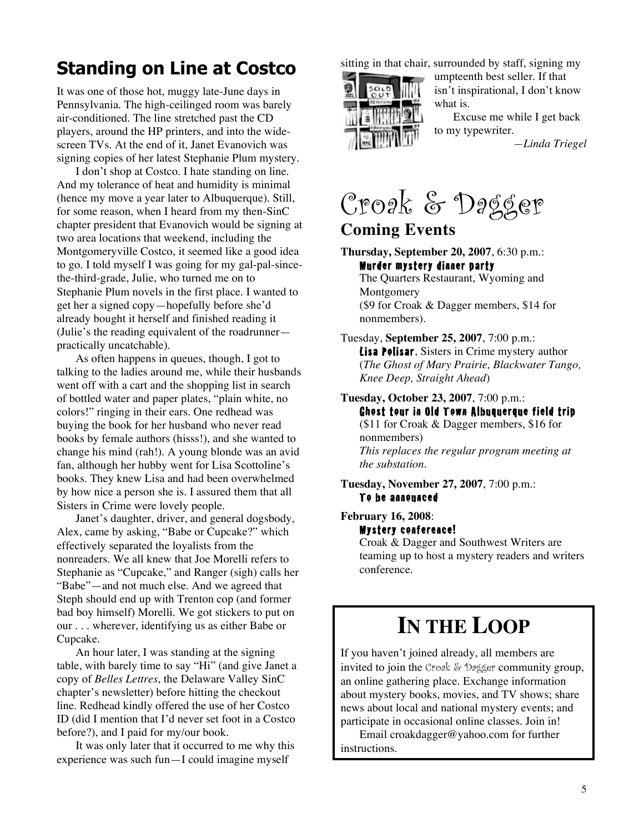## **Standing on Line at Costco**

It was one of those hot, muggy late-June days in Pennsylvania. The high-ceilinged room was barely air-conditioned. The line stretched past the CD players, around the HP printers, and into the widescreen TVs. At the end of it, Janet Evanovich was signing copies of her latest Stephanie Plum mystery.

I don't shop at Costco. I hate standing on line. And my tolerance of heat and humidity is minimal (hence my move a year later to Albuquerque). Still, for some reason, when I heard from my then-SinC chapter president that Evanovich would be signing at two area locations that weekend, including the Montgomeryville Costco, it seemed like a good idea to go. I told myself I was going for my gal-pal-sincethe-third-grade, Julie, who turned me on to Stephanie Plum novels in the first place. I wanted to get her a signed copy—hopefully before she'd already bought it herself and finished reading it (Julie's the reading equivalent of the roadrunner practically uncatchable).

As often happens in queues, though, I got to talking to the ladies around me, while their husbands went off with a cart and the shopping list in search of bottled water and paper plates, "plain white, no colors!" ringing in their ears. One redhead was buying the book for her husband who never read books by female authors (hisss!), and she wanted to change his mind (rah!). A young blonde was an avid fan, although her hubby went for Lisa Scottoline's books. They knew Lisa and had been overwhelmed by how nice a person she is. I assured them that all Sisters in Crime were lovely people.

Janet's daughter, driver, and general dogsbody, Alex, came by asking, "Babe or Cupcake?" which effectively separated the loyalists from the nonreaders. We all knew that Joe Morelli refers to Stephanie as "Cupcake," and Ranger (sigh) calls her "Babe"—and not much else. And we agreed that Steph should end up with Trenton cop (and former bad boy himself) Morelli. We got stickers to put on our . . . wherever, identifying us as either Babe or Cupcake.

An hour later, I was standing at the signing table, with barely time to say "Hi" (and give Janet a copy of *Belles Lettres*, the Delaware Valley SinC chapter's newsletter) before hitting the checkout line. Redhead kindly offered the use of her Costco ID (did I mention that I'd never set foot in a Costco before?), and I paid for my/our book.

It was only later that it occurred to me why this experience was such fun—I could imagine myself

sitting in that chair, surrounded by staff, signing my



umpteenth best seller. If that isn't inspirational, I don't know what is.

Excuse me while I get back to my typewriter.

*—Linda Triegel*

Croak & Dagger

## **Coming Events**

**Thursday, September 20, 2007**, 6:30 p.m.: Murder mystery dinner party The Quarters Restaurant, Wyoming and

Montgomery (\$9 for Croak & Dagger members, \$14 for nonmembers).

Tuesday, **September 25, 2007**, 7:00 p.m.: Lisa Polisar, Sisters in Crime mystery author (*The Ghost of Mary Prairie, Blackwater Tango, Knee Deep, Straight Ahead*)

**Tuesday, October 23, 2007**, 7:00 p.m.: Ghost tour in Old Town Albuquerque field trip (\$11 for Croak & Dagger members, \$16 for nonmembers) *This replaces the regular program meeting at the substation.*

#### **Tuesday, November 27, 2007**, 7:00 p.m.: To be announced

## **February 16, 2008**:

#### Mystery conference!

Croak & Dagger and Southwest Writers are teaming up to host a mystery readers and writers conference.

# **IN THE LOOP**

If you haven't joined already, all members are invited to join the Croak & Dagger community group, an online gathering place. Exchange information about mystery books, movies, and TV shows; share news about local and national mystery events; and participate in occasional online classes. Join in!

Email croakdagger@yahoo.com for further instructions.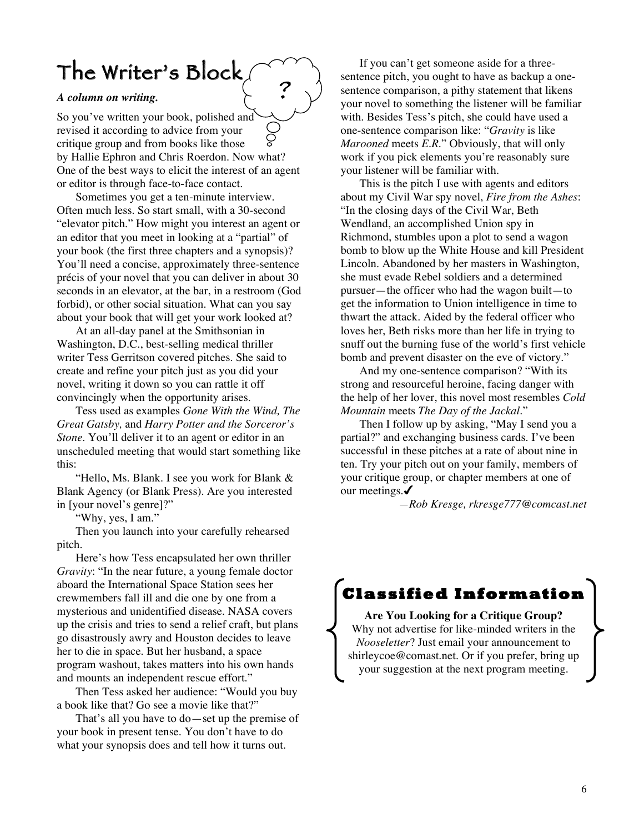# The Writer's Block

#### *A column on writing.*

So you've written your book, polished and revised it according to advice from your critique group and from books like those by Hallie Ephron and Chris Roerdon. Now what? One of the best ways to elicit the interest of an agent or editor is through face-to-face contact.

?

Sometimes you get a ten-minute interview. Often much less. So start small, with a 30-second "elevator pitch." How might you interest an agent or an editor that you meet in looking at a "partial" of your book (the first three chapters and a synopsis)? You'll need a concise, approximately three-sentence précis of your novel that you can deliver in about 30 seconds in an elevator, at the bar, in a restroom (God forbid), or other social situation. What can you say about your book that will get your work looked at?

At an all-day panel at the Smithsonian in Washington, D.C., best-selling medical thriller writer Tess Gerritson covered pitches. She said to create and refine your pitch just as you did your novel, writing it down so you can rattle it off convincingly when the opportunity arises.

Tess used as examples *Gone With the Wind, The Great Gatsby,* and *Harry Potter and the Sorceror's Stone.* You'll deliver it to an agent or editor in an unscheduled meeting that would start something like this:

"Hello, Ms. Blank. I see you work for Blank & Blank Agency (or Blank Press). Are you interested in [your novel's genre]?"

"Why, yes, I am."

Then you launch into your carefully rehearsed pitch.

Here's how Tess encapsulated her own thriller *Gravity*: "In the near future, a young female doctor aboard the International Space Station sees her crewmembers fall ill and die one by one from a mysterious and unidentified disease. NASA covers up the crisis and tries to send a relief craft, but plans go disastrously awry and Houston decides to leave her to die in space. But her husband, a space program washout, takes matters into his own hands and mounts an independent rescue effort."

Then Tess asked her audience: "Would you buy a book like that? Go see a movie like that?"

That's all you have to do—set up the premise of your book in present tense. You don't have to do what your synopsis does and tell how it turns out.

If you can't get someone aside for a threesentence pitch, you ought to have as backup a onesentence comparison, a pithy statement that likens your novel to something the listener will be familiar with. Besides Tess's pitch, she could have used a one-sentence comparison like: "*Gravity* is like *Marooned* meets *E.R.*" Obviously, that will only work if you pick elements you're reasonably sure your listener will be familiar with.

This is the pitch I use with agents and editors about my Civil War spy novel, *Fire from the Ashes*: "In the closing days of the Civil War, Beth Wendland, an accomplished Union spy in Richmond, stumbles upon a plot to send a wagon bomb to blow up the White House and kill President Lincoln. Abandoned by her masters in Washington, she must evade Rebel soldiers and a determined pursuer—the officer who had the wagon built—to get the information to Union intelligence in time to thwart the attack. Aided by the federal officer who loves her, Beth risks more than her life in trying to snuff out the burning fuse of the world's first vehicle bomb and prevent disaster on the eve of victory."

And my one-sentence comparison? "With its strong and resourceful heroine, facing danger with the help of her lover, this novel most resembles *Cold Mountain* meets *The Day of the Jackal*."

Then I follow up by asking, "May I send you a partial?" and exchanging business cards. I've been successful in these pitches at a rate of about nine in ten. Try your pitch out on your family, members of your critique group, or chapter members at one of our meetings. $\checkmark$ 

*—Rob Kresge, rkresge777@comcast.net*



**Are You Looking for a Critique Group?** Why not advertise for like-minded writers in the *Nooseletter*? Just email your announcement to shirleycoe@comast.net. Or if you prefer, bring up your suggestion at the next program meeting.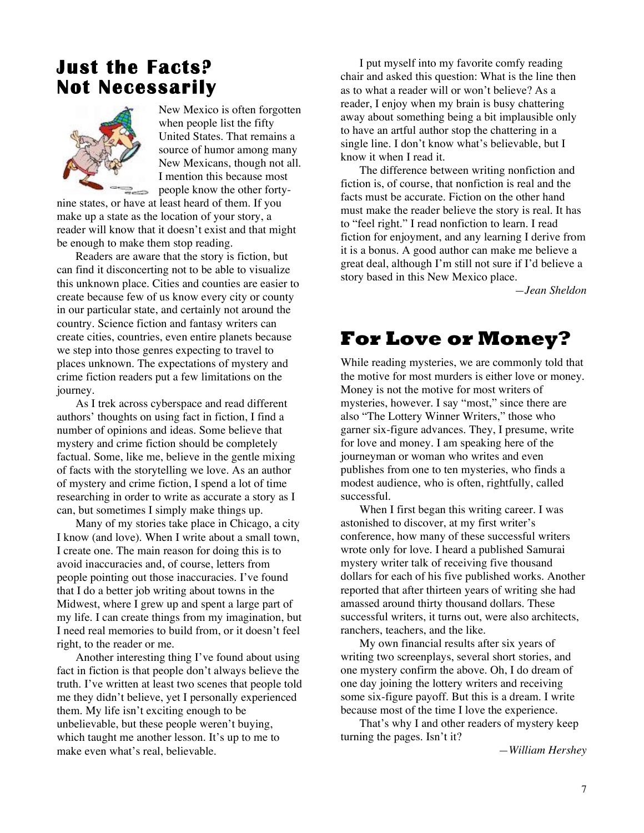# **Just the Facts? Not Necessarily**



New Mexico is often forgotten when people list the fifty United States. That remains a source of humor among many New Mexicans, though not all. I mention this because most people know the other forty-

nine states, or have at least heard of them. If you make up a state as the location of your story, a reader will know that it doesn't exist and that might be enough to make them stop reading.

Readers are aware that the story is fiction, but can find it disconcerting not to be able to visualize this unknown place. Cities and counties are easier to create because few of us know every city or county in our particular state, and certainly not around the country. Science fiction and fantasy writers can create cities, countries, even entire planets because we step into those genres expecting to travel to places unknown. The expectations of mystery and crime fiction readers put a few limitations on the journey.

As I trek across cyberspace and read different authors' thoughts on using fact in fiction, I find a number of opinions and ideas. Some believe that mystery and crime fiction should be completely factual. Some, like me, believe in the gentle mixing of facts with the storytelling we love. As an author of mystery and crime fiction, I spend a lot of time researching in order to write as accurate a story as I can, but sometimes I simply make things up.

Many of my stories take place in Chicago, a city I know (and love). When I write about a small town, I create one. The main reason for doing this is to avoid inaccuracies and, of course, letters from people pointing out those inaccuracies. I've found that I do a better job writing about towns in the Midwest, where I grew up and spent a large part of my life. I can create things from my imagination, but I need real memories to build from, or it doesn't feel right, to the reader or me.

Another interesting thing I've found about using fact in fiction is that people don't always believe the truth. I've written at least two scenes that people told me they didn't believe, yet I personally experienced them. My life isn't exciting enough to be unbelievable, but these people weren't buying, which taught me another lesson. It's up to me to make even what's real, believable.

I put myself into my favorite comfy reading chair and asked this question: What is the line then as to what a reader will or won't believe? As a reader, I enjoy when my brain is busy chattering away about something being a bit implausible only to have an artful author stop the chattering in a single line. I don't know what's believable, but I know it when I read it.

The difference between writing nonfiction and fiction is, of course, that nonfiction is real and the facts must be accurate. Fiction on the other hand must make the reader believe the story is real. It has to "feel right." I read nonfiction to learn. I read fiction for enjoyment, and any learning I derive from it is a bonus. A good author can make me believe a great deal, although I'm still not sure if I'd believe a story based in this New Mexico place.

*—Jean Sheldon*

## **For Love or Money?**

While reading mysteries, we are commonly told that the motive for most murders is either love or money. Money is not the motive for most writers of mysteries, however. I say "most," since there are also "The Lottery Winner Writers," those who garner six-figure advances. They, I presume, write for love and money. I am speaking here of the journeyman or woman who writes and even publishes from one to ten mysteries, who finds a modest audience, who is often, rightfully, called successful.

When I first began this writing career. I was astonished to discover, at my first writer's conference, how many of these successful writers wrote only for love. I heard a published Samurai mystery writer talk of receiving five thousand dollars for each of his five published works. Another reported that after thirteen years of writing she had amassed around thirty thousand dollars. These successful writers, it turns out, were also architects, ranchers, teachers, and the like.

My own financial results after six years of writing two screenplays, several short stories, and one mystery confirm the above. Oh, I do dream of one day joining the lottery writers and receiving some six-figure payoff. But this is a dream. I write because most of the time I love the experience.

That's why I and other readers of mystery keep turning the pages. Isn't it?

*—William Hershey*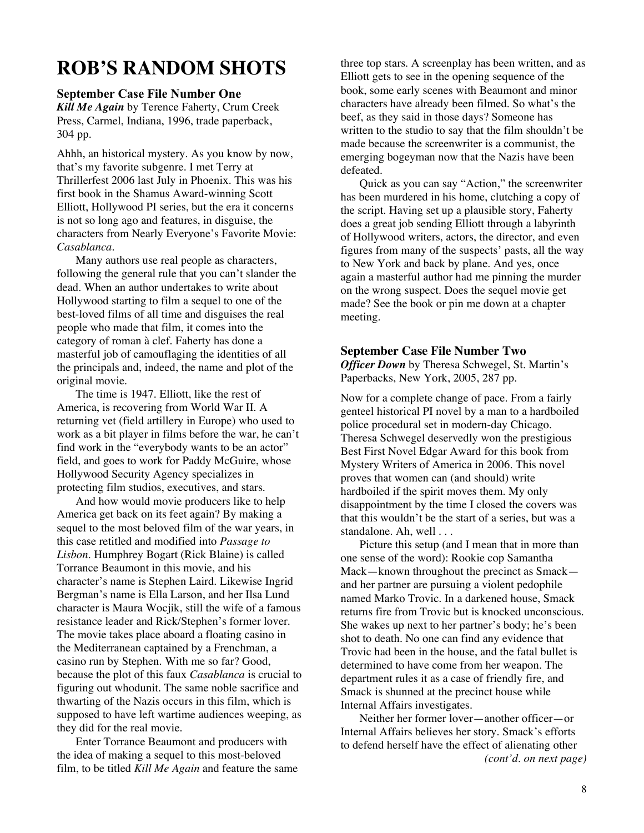## **ROB'S RANDOM SHOTS**

#### **September Case File Number One**

*Kill Me Again* by Terence Faherty, Crum Creek Press, Carmel, Indiana, 1996, trade paperback, 304 pp.

Ahhh, an historical mystery. As you know by now, that's my favorite subgenre. I met Terry at Thrillerfest 2006 last July in Phoenix. This was his first book in the Shamus Award-winning Scott Elliott, Hollywood PI series, but the era it concerns is not so long ago and features, in disguise, the characters from Nearly Everyone's Favorite Movie: *Casablanca*.

Many authors use real people as characters, following the general rule that you can't slander the dead. When an author undertakes to write about Hollywood starting to film a sequel to one of the best-loved films of all time and disguises the real people who made that film, it comes into the category of roman à clef. Faherty has done a masterful job of camouflaging the identities of all the principals and, indeed, the name and plot of the original movie.

The time is 1947. Elliott, like the rest of America, is recovering from World War II. A returning vet (field artillery in Europe) who used to work as a bit player in films before the war, he can't find work in the "everybody wants to be an actor" field, and goes to work for Paddy McGuire, whose Hollywood Security Agency specializes in protecting film studios, executives, and stars.

And how would movie producers like to help America get back on its feet again? By making a sequel to the most beloved film of the war years, in this case retitled and modified into *Passage to Lisbon*. Humphrey Bogart (Rick Blaine) is called Torrance Beaumont in this movie, and his character's name is Stephen Laird. Likewise Ingrid Bergman's name is Ella Larson, and her Ilsa Lund character is Maura Wocjik, still the wife of a famous resistance leader and Rick/Stephen's former lover. The movie takes place aboard a floating casino in the Mediterranean captained by a Frenchman, a casino run by Stephen. With me so far? Good, because the plot of this faux *Casablanca* is crucial to figuring out whodunit. The same noble sacrifice and thwarting of the Nazis occurs in this film, which is supposed to have left wartime audiences weeping, as they did for the real movie.

Enter Torrance Beaumont and producers with the idea of making a sequel to this most-beloved film, to be titled *Kill Me Again* and feature the same three top stars. A screenplay has been written, and as Elliott gets to see in the opening sequence of the book, some early scenes with Beaumont and minor characters have already been filmed. So what's the beef, as they said in those days? Someone has written to the studio to say that the film shouldn't be made because the screenwriter is a communist, the emerging bogeyman now that the Nazis have been defeated.

Quick as you can say "Action," the screenwriter has been murdered in his home, clutching a copy of the script. Having set up a plausible story, Faherty does a great job sending Elliott through a labyrinth of Hollywood writers, actors, the director, and even figures from many of the suspects' pasts, all the way to New York and back by plane. And yes, once again a masterful author had me pinning the murder on the wrong suspect. Does the sequel movie get made? See the book or pin me down at a chapter meeting.

#### **September Case File Number Two**

*Officer Down* by Theresa Schwegel, St. Martin's Paperbacks, New York, 2005, 287 pp.

Now for a complete change of pace. From a fairly genteel historical PI novel by a man to a hardboiled police procedural set in modern-day Chicago. Theresa Schwegel deservedly won the prestigious Best First Novel Edgar Award for this book from Mystery Writers of America in 2006. This novel proves that women can (and should) write hardboiled if the spirit moves them. My only disappointment by the time I closed the covers was that this wouldn't be the start of a series, but was a standalone. Ah, well . . .

Picture this setup (and I mean that in more than one sense of the word): Rookie cop Samantha Mack—known throughout the precinct as Smack and her partner are pursuing a violent pedophile named Marko Trovic. In a darkened house, Smack returns fire from Trovic but is knocked unconscious. She wakes up next to her partner's body; he's been shot to death. No one can find any evidence that Trovic had been in the house, and the fatal bullet is determined to have come from her weapon. The department rules it as a case of friendly fire, and Smack is shunned at the precinct house while Internal Affairs investigates.

Neither her former lover—another officer—or Internal Affairs believes her story. Smack's efforts to defend herself have the effect of alienating other *(cont'd. on next page)*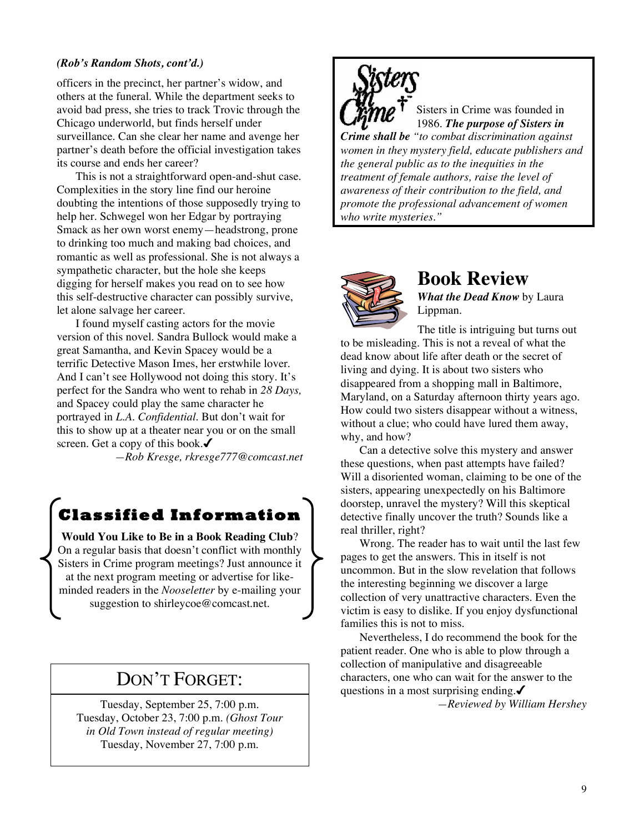#### *(Rob's Random Shots, cont'd.)*

officers in the precinct, her partner's widow, and others at the funeral. While the department seeks to avoid bad press, she tries to track Trovic through the Chicago underworld, but finds herself under surveillance. Can she clear her name and avenge her partner's death before the official investigation takes its course and ends her career?

This is not a straightforward open-and-shut case. Complexities in the story line find our heroine doubting the intentions of those supposedly trying to help her. Schwegel won her Edgar by portraying Smack as her own worst enemy—headstrong, prone to drinking too much and making bad choices, and romantic as well as professional. She is not always a sympathetic character, but the hole she keeps digging for herself makes you read on to see how this self-destructive character can possibly survive, let alone salvage her career.

I found myself casting actors for the movie version of this novel. Sandra Bullock would make a great Samantha, and Kevin Spacey would be a terrific Detective Mason Imes, her erstwhile lover. And I can't see Hollywood not doing this story. It's perfect for the Sandra who went to rehab in *28 Days,* and Spacey could play the same character he portrayed in *L.A. Confidential*. But don't wait for this to show up at a theater near you or on the small screen. Get a copy of this book.

*—Rob Kresge, rkresge777@comcast.net*

# **Classified Information**

**Would You Like to Be in a Book Reading Club**? On a regular basis that doesn't conflict with monthly Sisters in Crime program meetings? Just announce it at the next program meeting or advertise for likeminded readers in the *Nooseletter* by e-mailing your suggestion to shirleycoe@comcast.net.

## DON'T FORGET:

Tuesday, September 25, 7:00 p.m. Tuesday, October 23, 7:00 p.m. *(Ghost Tour in Old Town instead of regular meeting)* Tuesday, November 27, 7:00 p.m.



Sisters in Crime was founded in 1986. *The purpose of Sisters in*

*Crime shall be "to combat discrimination against women in they mystery field, educate publishers and the general public as to the inequities in the treatment of female authors, raise the level of awareness of their contribution to the field, and promote the professional advancement of women who write mysteries."*



## **Book Review**

*What the Dead Know* by Laura Lippman.

The title is intriguing but turns out to be misleading. This is not a reveal of what the dead know about life after death or the secret of living and dying. It is about two sisters who disappeared from a shopping mall in Baltimore, Maryland, on a Saturday afternoon thirty years ago. How could two sisters disappear without a witness, without a clue; who could have lured them away, why, and how?

Can a detective solve this mystery and answer these questions, when past attempts have failed? Will a disoriented woman, claiming to be one of the sisters, appearing unexpectedly on his Baltimore doorstep, unravel the mystery? Will this skeptical detective finally uncover the truth? Sounds like a real thriller, right?

Wrong. The reader has to wait until the last few pages to get the answers. This in itself is not uncommon. But in the slow revelation that follows the interesting beginning we discover a large collection of very unattractive characters. Even the victim is easy to dislike. If you enjoy dysfunctional families this is not to miss.

Nevertheless, I do recommend the book for the patient reader. One who is able to plow through a collection of manipulative and disagreeable characters, one who can wait for the answer to the questions in a most surprising ending. $\checkmark$ *—Reviewed by William Hershey*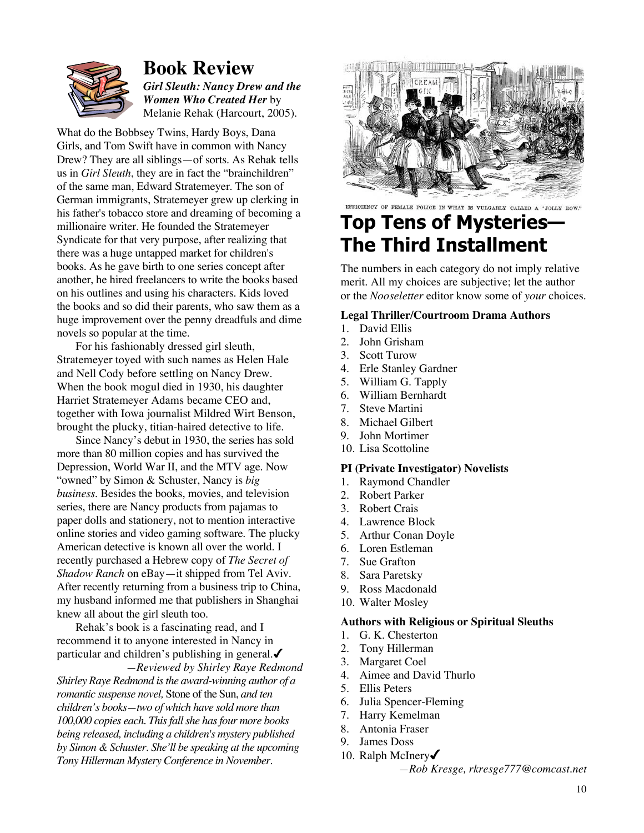

### **Book Review** *Girl Sleuth: Nancy Drew and the Women Who Created Her* by Melanie Rehak (Harcourt, 2005).

What do the Bobbsey Twins, Hardy Boys, Dana Girls, and Tom Swift have in common with Nancy Drew? They are all siblings—of sorts. As Rehak tells us in *Girl Sleuth*, they are in fact the "brainchildren" of the same man, Edward Stratemeyer. The son of German immigrants, Stratemeyer grew up clerking in his father's tobacco store and dreaming of becoming a millionaire writer. He founded the Stratemeyer Syndicate for that very purpose, after realizing that there was a huge untapped market for children's books. As he gave birth to one series concept after another, he hired freelancers to write the books based on his outlines and using his characters. Kids loved the books and so did their parents, who saw them as a huge improvement over the penny dreadfuls and dime novels so popular at the time.

For his fashionably dressed girl sleuth, Stratemeyer toyed with such names as Helen Hale and Nell Cody before settling on Nancy Drew. When the book mogul died in 1930, his daughter Harriet Stratemeyer Adams became CEO and, together with Iowa journalist Mildred Wirt Benson, brought the plucky, titian-haired detective to life.

Since Nancy's debut in 1930, the series has sold more than 80 million copies and has survived the Depression, World War II, and the MTV age. Now "owned" by Simon & Schuster, Nancy is *big business*. Besides the books, movies, and television series, there are Nancy products from pajamas to paper dolls and stationery, not to mention interactive online stories and video gaming software. The plucky American detective is known all over the world. I recently purchased a Hebrew copy of *The Secret of Shadow Ranch* on eBay—it shipped from Tel Aviv. After recently returning from a business trip to China, my husband informed me that publishers in Shanghai knew all about the girl sleuth too.

Rehak's book is a fascinating read, and I recommend it to anyone interested in Nancy in particular and children's publishing in general.

*—Reviewed by Shirley Raye Redmond Shirley Raye Redmond isthe award-winning author of a romantic suspense novel,* Stone of the Sun, *and ten children's books—two of which have sold more than 100,000 copies each. Thisfallshe hasfour more books being released, including a children's mystery published by Simon & Schuster. She'll be speaking at the upcoming Tony Hillerman Mystery Conference in November.*



# **Top Tens of Mysteries— The Third Installment**

The numbers in each category do not imply relative merit. All my choices are subjective; let the author or the *Nooseletter* editor know some of *your* choices.

#### **Legal Thriller/Courtroom Drama Authors**

- 1. David Ellis
- 2. John Grisham
- 3. Scott Turow
- 4. Erle Stanley Gardner
- 5. William G. Tapply
- 6. William Bernhardt
- 7. Steve Martini
- 8. Michael Gilbert
- 9. John Mortimer
- 10. Lisa Scottoline

#### **PI (Private Investigator) Novelists**

- 1. Raymond Chandler
- 2. Robert Parker
- 3. Robert Crais
- 4. Lawrence Block
- 5. Arthur Conan Doyle
- 6. Loren Estleman
- 7. Sue Grafton
- 8. Sara Paretsky
- 9. Ross Macdonald
- 10. Walter Mosley

#### **Authors with Religious or Spiritual Sleuths**

- 1. G. K. Chesterton
- 2. Tony Hillerman
- 3. Margaret Coel
- 4. Aimee and David Thurlo
- 5. Ellis Peters
- 6. Julia Spencer-Fleming
- 7. Harry Kemelman
- 8. Antonia Fraser
- 9. James Doss
- 10. Ralph McInery $\checkmark$

*—Rob Kresge, rkresge777@comcast.net*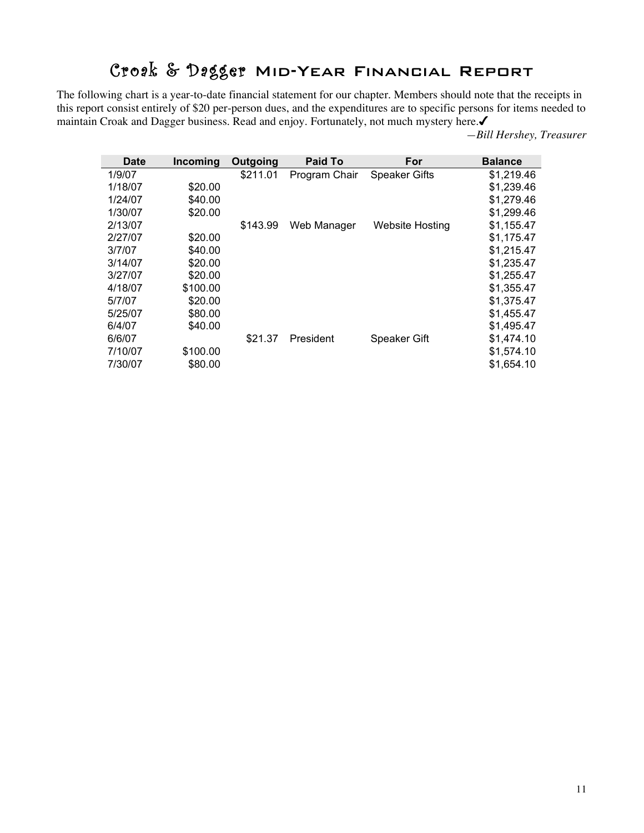# Croak & Dagger Mid-Year Financial Report

The following chart is a year-to-date financial statement for our chapter. Members should note that the receipts in this report consist entirely of \$20 per-person dues, and the expenditures are to specific persons for items needed to maintain Croak and Dagger business. Read and enjoy. Fortunately, not much mystery here.

*—Bill Hershey, Treasurer*

| <b>Date</b> | Incoming | Outgoing | <b>Paid To</b> | For                    | <b>Balance</b> |
|-------------|----------|----------|----------------|------------------------|----------------|
| 1/9/07      |          | \$211.01 | Program Chair  | <b>Speaker Gifts</b>   | \$1,219.46     |
| 1/18/07     | \$20.00  |          |                |                        | \$1,239.46     |
| 1/24/07     | \$40.00  |          |                |                        | \$1,279.46     |
| 1/30/07     | \$20.00  |          |                |                        | \$1,299.46     |
| 2/13/07     |          | \$143.99 | Web Manager    | <b>Website Hosting</b> | \$1,155.47     |
| 2/27/07     | \$20.00  |          |                |                        | \$1,175.47     |
| 3/7/07      | \$40.00  |          |                |                        | \$1,215.47     |
| 3/14/07     | \$20.00  |          |                |                        | \$1,235.47     |
| 3/27/07     | \$20.00  |          |                |                        | \$1,255.47     |
| 4/18/07     | \$100.00 |          |                |                        | \$1,355.47     |
| 5/7/07      | \$20.00  |          |                |                        | \$1,375.47     |
| 5/25/07     | \$80.00  |          |                |                        | \$1,455.47     |
| 6/4/07      | \$40.00  |          |                |                        | \$1,495.47     |
| 6/6/07      |          | \$21.37  | President      | Speaker Gift           | \$1,474.10     |
| 7/10/07     | \$100.00 |          |                |                        | \$1,574.10     |
| 7/30/07     | \$80.00  |          |                |                        | \$1,654.10     |